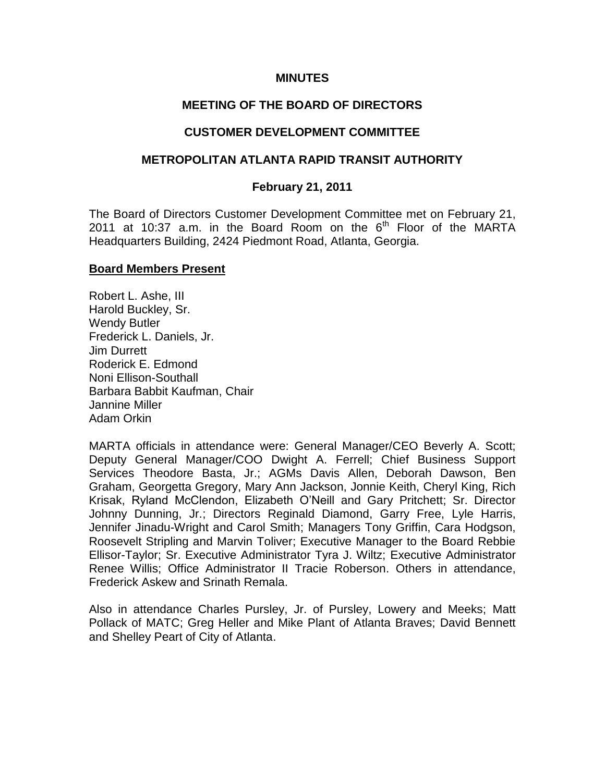### **MINUTES**

### **MEETING OF THE BOARD OF DIRECTORS**

### **CUSTOMER DEVELOPMENT COMMITTEE**

### **METROPOLITAN ATLANTA RAPID TRANSIT AUTHORITY**

### **February 21, 2011**

The Board of Directors Customer Development Committee met on February 21, 2011 at 10:37 a.m. in the Board Room on the  $6<sup>th</sup>$  Floor of the MARTA Headquarters Building, 2424 Piedmont Road, Atlanta, Georgia.

### **Board Members Present**

Robert L. Ashe, III Harold Buckley, Sr. Wendy Butler Frederick L. Daniels, Jr. Jim Durrett Roderick E. Edmond Noni Ellison-Southall Barbara Babbit Kaufman, Chair Jannine Miller Adam Orkin

MARTA officials in attendance were: General Manager/CEO Beverly A. Scott; Deputy General Manager/COO Dwight A. Ferrell; Chief Business Support Services Theodore Basta, Jr.; AGMs Davis Allen, Deborah Dawson, Ben Graham, Georgetta Gregory, Mary Ann Jackson, Jonnie Keith, Cheryl King, Rich Krisak, Ryland McClendon, Elizabeth O'Neill and Gary Pritchett; Sr. Director Johnny Dunning, Jr.; Directors Reginald Diamond, Garry Free, Lyle Harris, Jennifer Jinadu-Wright and Carol Smith; Managers Tony Griffin, Cara Hodgson, Roosevelt Stripling and Marvin Toliver; Executive Manager to the Board Rebbie Ellisor-Taylor; Sr. Executive Administrator Tyra J. Wiltz; Executive Administrator Renee Willis; Office Administrator II Tracie Roberson. Others in attendance, Frederick Askew and Srinath Remala.

Also in attendance Charles Pursley, Jr. of Pursley, Lowery and Meeks; Matt Pollack of MATC; Greg Heller and Mike Plant of Atlanta Braves; David Bennett and Shelley Peart of City of Atlanta.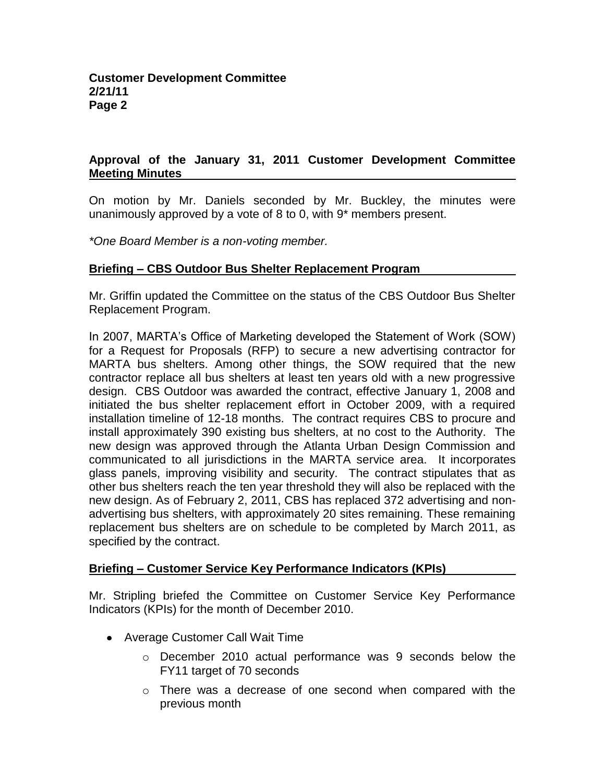# **Approval of the January 31, 2011 Customer Development Committee Meeting Minutes**

On motion by Mr. Daniels seconded by Mr. Buckley, the minutes were unanimously approved by a vote of 8 to 0, with 9\* members present.

*\*One Board Member is a non-voting member.*

## **Briefing – CBS Outdoor Bus Shelter Replacement Program**

Mr. Griffin updated the Committee on the status of the CBS Outdoor Bus Shelter Replacement Program.

In 2007, MARTA's Office of Marketing developed the Statement of Work (SOW) for a Request for Proposals (RFP) to secure a new advertising contractor for MARTA bus shelters. Among other things, the SOW required that the new contractor replace all bus shelters at least ten years old with a new progressive design. CBS Outdoor was awarded the contract, effective January 1, 2008 and initiated the bus shelter replacement effort in October 2009, with a required installation timeline of 12-18 months. The contract requires CBS to procure and install approximately 390 existing bus shelters, at no cost to the Authority. The new design was approved through the Atlanta Urban Design Commission and communicated to all jurisdictions in the MARTA service area. It incorporates glass panels, improving visibility and security. The contract stipulates that as other bus shelters reach the ten year threshold they will also be replaced with the new design. As of February 2, 2011, CBS has replaced 372 advertising and nonadvertising bus shelters, with approximately 20 sites remaining. These remaining replacement bus shelters are on schedule to be completed by March 2011, as specified by the contract.

## **Briefing – Customer Service Key Performance Indicators (KPIs)**

Mr. Stripling briefed the Committee on Customer Service Key Performance Indicators (KPIs) for the month of December 2010.

- Average Customer Call Wait Time
	- o December 2010 actual performance was 9 seconds below the FY11 target of 70 seconds
	- $\circ$  There was a decrease of one second when compared with the previous month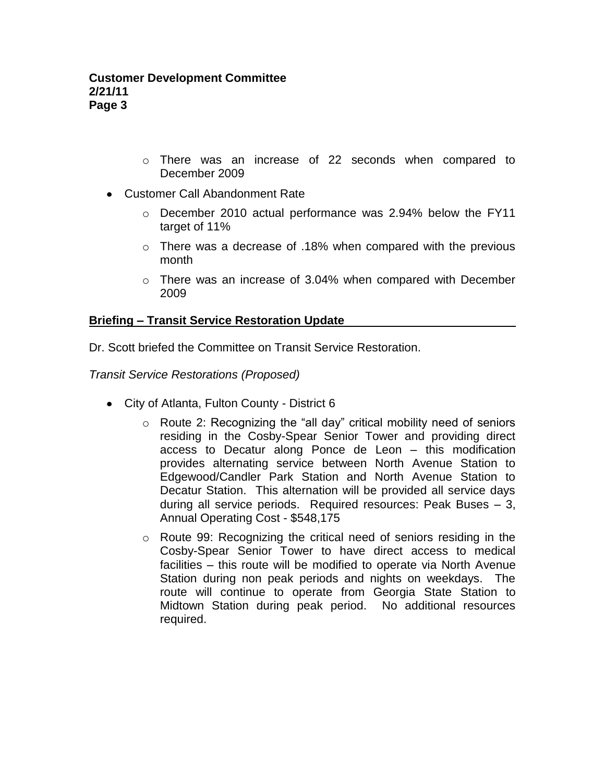- o There was an increase of 22 seconds when compared to December 2009
- Customer Call Abandonment Rate
	- $\circ$  December 2010 actual performance was 2.94% below the FY11 target of 11%
	- $\circ$  There was a decrease of .18% when compared with the previous month
	- $\circ$  There was an increase of 3.04% when compared with December 2009

# **Briefing – Transit Service Restoration Update**

Dr. Scott briefed the Committee on Transit Service Restoration.

*Transit Service Restorations (Proposed)*

- City of Atlanta, Fulton County District 6
	- o Route 2: Recognizing the "all day" critical mobility need of seniors residing in the Cosby-Spear Senior Tower and providing direct access to Decatur along Ponce de Leon – this modification provides alternating service between North Avenue Station to Edgewood/Candler Park Station and North Avenue Station to Decatur Station. This alternation will be provided all service days during all service periods. Required resources: Peak Buses – 3, Annual Operating Cost - \$548,175
	- o Route 99: Recognizing the critical need of seniors residing in the Cosby-Spear Senior Tower to have direct access to medical facilities – this route will be modified to operate via North Avenue Station during non peak periods and nights on weekdays. The route will continue to operate from Georgia State Station to Midtown Station during peak period. No additional resources required.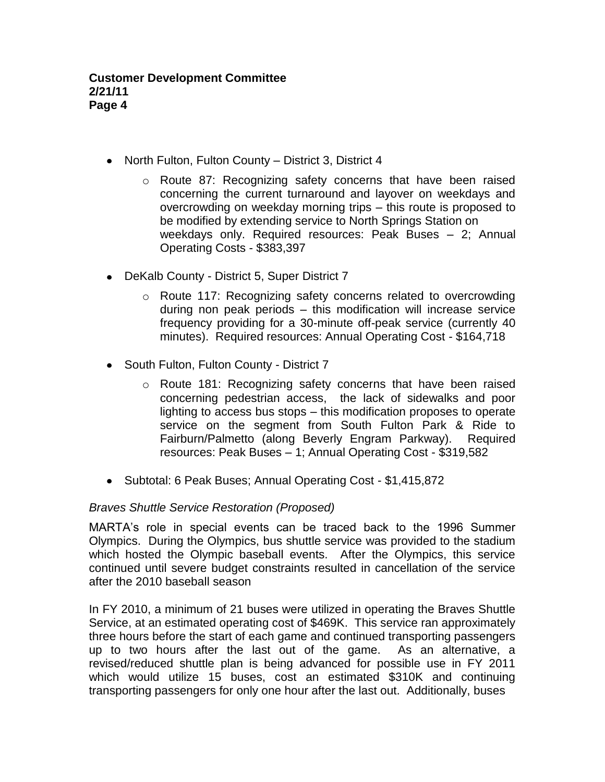- North Fulton, Fulton County District 3, District 4
	- o Route 87: Recognizing safety concerns that have been raised concerning the current turnaround and layover on weekdays and overcrowding on weekday morning trips – this route is proposed to be modified by extending service to North Springs Station on weekdays only. Required resources: Peak Buses – 2; Annual Operating Costs - \$383,397
- DeKalb County District 5, Super District 7
	- o Route 117: Recognizing safety concerns related to overcrowding during non peak periods – this modification will increase service frequency providing for a 30-minute off-peak service (currently 40 minutes). Required resources: Annual Operating Cost - \$164,718
- South Fulton, Fulton County District 7
	- o Route 181: Recognizing safety concerns that have been raised concerning pedestrian access, the lack of sidewalks and poor lighting to access bus stops – this modification proposes to operate service on the segment from South Fulton Park & Ride to Fairburn/Palmetto (along Beverly Engram Parkway). Required resources: Peak Buses – 1; Annual Operating Cost - \$319,582
- Subtotal: 6 Peak Buses; Annual Operating Cost \$1,415,872

## *Braves Shuttle Service Restoration (Proposed)*

MARTA's role in special events can be traced back to the 1996 Summer Olympics. During the Olympics, bus shuttle service was provided to the stadium which hosted the Olympic baseball events. After the Olympics, this service continued until severe budget constraints resulted in cancellation of the service after the 2010 baseball season

In FY 2010, a minimum of 21 buses were utilized in operating the Braves Shuttle Service, at an estimated operating cost of \$469K. This service ran approximately three hours before the start of each game and continued transporting passengers up to two hours after the last out of the game. As an alternative, a revised/reduced shuttle plan is being advanced for possible use in FY 2011 which would utilize 15 buses, cost an estimated \$310K and continuing transporting passengers for only one hour after the last out. Additionally, buses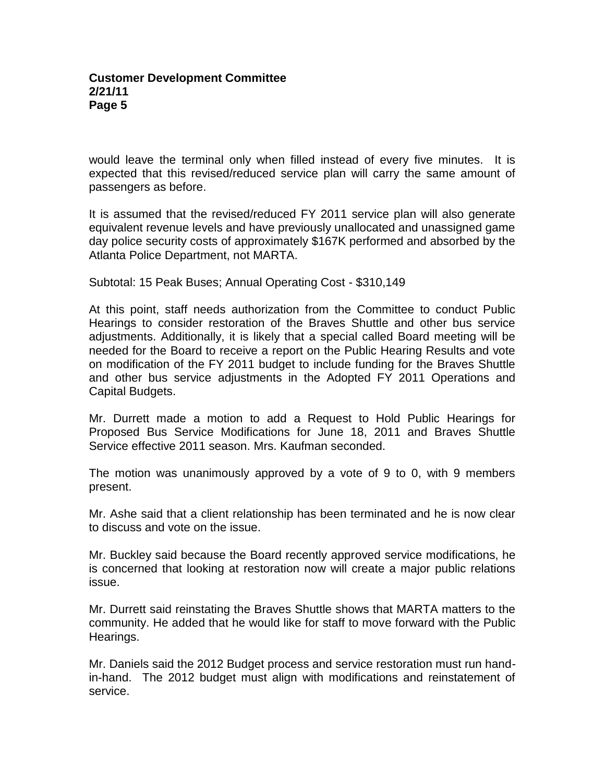would leave the terminal only when filled instead of every five minutes. It is expected that this revised/reduced service plan will carry the same amount of passengers as before.

It is assumed that the revised/reduced FY 2011 service plan will also generate equivalent revenue levels and have previously unallocated and unassigned game day police security costs of approximately \$167K performed and absorbed by the Atlanta Police Department, not MARTA.

Subtotal: 15 Peak Buses; Annual Operating Cost - \$310,149

At this point, staff needs authorization from the Committee to conduct Public Hearings to consider restoration of the Braves Shuttle and other bus service adjustments. Additionally, it is likely that a special called Board meeting will be needed for the Board to receive a report on the Public Hearing Results and vote on modification of the FY 2011 budget to include funding for the Braves Shuttle and other bus service adjustments in the Adopted FY 2011 Operations and Capital Budgets.

Mr. Durrett made a motion to add a Request to Hold Public Hearings for Proposed Bus Service Modifications for June 18, 2011 and Braves Shuttle Service effective 2011 season. Mrs. Kaufman seconded.

The motion was unanimously approved by a vote of 9 to 0, with 9 members present.

Mr. Ashe said that a client relationship has been terminated and he is now clear to discuss and vote on the issue.

Mr. Buckley said because the Board recently approved service modifications, he is concerned that looking at restoration now will create a major public relations issue.

Mr. Durrett said reinstating the Braves Shuttle shows that MARTA matters to the community. He added that he would like for staff to move forward with the Public Hearings.

Mr. Daniels said the 2012 Budget process and service restoration must run handin-hand. The 2012 budget must align with modifications and reinstatement of service.